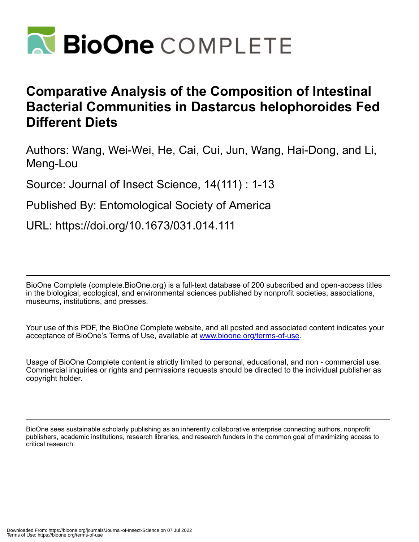

# **Comparative Analysis of the Composition of Intestinal Bacterial Communities in Dastarcus helophoroides Fed Different Diets**

Authors: Wang, Wei-Wei, He, Cai, Cui, Jun, Wang, Hai-Dong, and Li, Meng-Lou

Source: Journal of Insect Science, 14(111) : 1-13

Published By: Entomological Society of America

URL: https://doi.org/10.1673/031.014.111

BioOne Complete (complete.BioOne.org) is a full-text database of 200 subscribed and open-access titles in the biological, ecological, and environmental sciences published by nonprofit societies, associations, museums, institutions, and presses.

Your use of this PDF, the BioOne Complete website, and all posted and associated content indicates your acceptance of BioOne's Terms of Use, available at www.bioone.org/terms-of-use.

Usage of BioOne Complete content is strictly limited to personal, educational, and non - commercial use. Commercial inquiries or rights and permissions requests should be directed to the individual publisher as copyright holder.

BioOne sees sustainable scholarly publishing as an inherently collaborative enterprise connecting authors, nonprofit publishers, academic institutions, research libraries, and research funders in the common goal of maximizing access to critical research.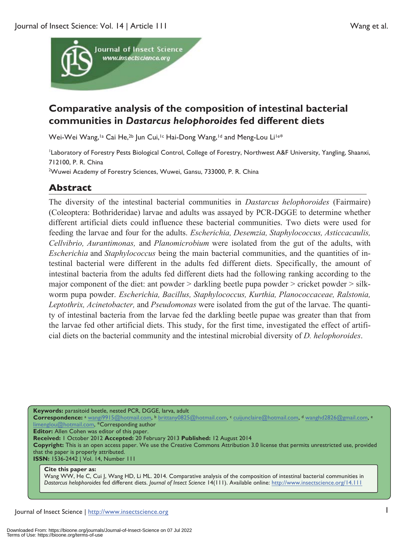

## **Comparative analysis of the composition of intestinal bacterial communities in** *Dastarcus helophoroides* **fed different diets**

Wei-Wei Wang,<sup>1a</sup> Cai He,<sup>2b</sup> Jun Cui,<sup>1c</sup> Hai-Dong Wang,<sup>1d</sup> and Meng-Lou Li<sup>1e\*</sup>

Laboratory of Forestry Pests Biological Control, College of Forestry, Northwest A&F University, Yangling, Shaanxi, 712100, P. R. China <sup>2</sup>Wuwei Academy of Forestry Sciences, Wuwei, Gansu, 733000, P. R. China

## **Abstract**

The diversity of the intestinal bacterial communities in *Dastarcus helophoroides* (Fairmaire) (Coleoptera: Bothrideridae) larvae and adults was assayed by PCR-DGGE to determine whether different artificial diets could influence these bacterial communities. Two diets were used for feeding the larvae and four for the adults. *Escherichia, Desemzia, Staphylococcus, Asticcacaulis, Cellvibrio, Aurantimonas,* and *Planomicrobium* were isolated from the gut of the adults, with *Escherichia* and *Staphylococcus* being the main bacterial communities, and the quantities of intestinal bacterial were different in the adults fed different diets. Specifically, the amount of intestinal bacteria from the adults fed different diets had the following ranking according to the major component of the diet: ant powder  $>$  darkling beetle pupa powder  $>$  cricket powder  $>$  silkworm pupa powder. *Escherichia, Bacillus, Staphylococcus, Kurthia, Planococcaceae, Ralstonia, Leptothrix, Acinetobacter,* and *Pseudomonas* were isolated from the gut of the larvae. The quantity of intestinal bacteria from the larvae fed the darkling beetle pupae was greater than that from the larvae fed other artificial diets. This study, for the first time, investigated the effect of artificial diets on the bacterial community and the intestinal microbial diversity of *D. helophoroides*.

**Keywords:** parasitoid beetle, nested PCR, DGGE, larva, adult **Correspondence:** <sup>a</sup> wangi9915@hotmail.com, b brittany0825@hotmail.com, c cuijunclaire@hotmail.com, d wanghd2826@gmail.com, e limenglou@hotmail.com, \*Corresponding author **Editor:** Allen Cohen was editor of this paper. **Received:** 1 October 2012 **Accepted:** 20 February 2013 **Published:** 12 August 2014 **Copyright:** This is an open access paper. We use the Creative Commons Attribution 3.0 license that permits unrestricted use, provided that the paper is properly attributed. **ISSN:** 1536-2442 | Vol. 14, Number 111

#### **Cite this paper as:**

Wang WW, He C, Cui J, Wang HD, Li ML. 2014. Comparative analysis of the composition of intestinal bacterial communities in *Dastarcus helophoroides* fed different diets. *Journal of Insect Science* 14(111). Available online: http://www.insectscience.org/14.111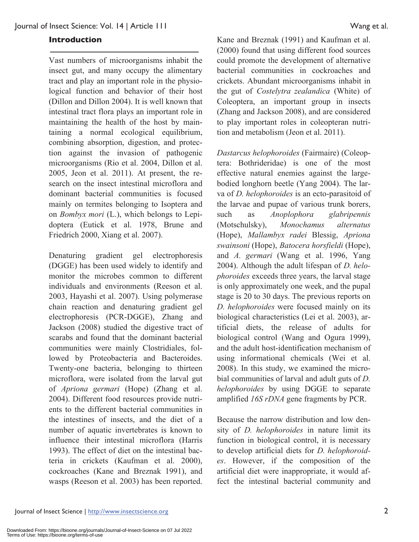#### **Introduction**

Vast numbers of microorganisms inhabit the insect gut, and many occupy the alimentary tract and play an important role in the physiological function and behavior of their host (Dillon and Dillon 2004). It is well known that intestinal tract flora plays an important role in maintaining the health of the host by maintaining a normal ecological equilibrium, combining absorption, digestion, and protection against the invasion of pathogenic microorganisms (Rio et al. 2004, Dillon et al. 2005, Jeon et al. 2011). At present, the research on the insect intestinal microflora and dominant bacterial communities is focused mainly on termites belonging to Isoptera and on *Bombyx mori* (L.), which belongs to Lepidoptera (Eutick et al. 1978, Brune and Friedrich 2000, Xiang et al. 2007).

Denaturing gradient gel electrophoresis (DGGE) has been used widely to identify and monitor the microbes common to different individuals and environments (Reeson et al. 2003, Hayashi et al. 2007). Using polymerase chain reaction and denaturing gradient gel electrophoresis (PCR-DGGE), Zhang and Jackson (2008) studied the digestive tract of scarabs and found that the dominant bacterial communities were mainly Clostridiales, followed by Proteobacteria and Bacteroides. Twenty-one bacteria, belonging to thirteen microflora, were isolated from the larval gut of *Apriona germari* (Hope) (Zhang et al. 2004). Different food resources provide nutrients to the different bacterial communities in the intestines of insects, and the diet of a number of aquatic invertebrates is known to influence their intestinal microflora (Harris 1993). The effect of diet on the intestinal bacteria in crickets (Kaufman et al. 2000), cockroaches (Kane and Breznak 1991), and wasps (Reeson et al. 2003) has been reported.

Kane and Breznak (1991) and Kaufman et al. (2000) found that using different food sources could promote the development of alternative bacterial communities in cockroaches and crickets. Abundant microorganisms inhabit in the gut of *Costelytra zealandica* (White) of Coleoptera, an important group in insects (Zhang and Jackson 2008), and are considered to play important roles in coleopteran nutrition and metabolism (Jeon et al. 2011).

*Dastarcus helophoroides* (Fairmaire) (Coleoptera: Bothrideridae) is one of the most effective natural enemies against the largebodied longhorn beetle (Yang 2004). The larva of *D. helophoroides* is an ecto-parasitoid of the larvae and pupae of various trunk borers, such as *Anoplophora glabripennis*  (Motschulsky), *Monochamus alternatus*  (Hope), *Mallambyx radei* Blessig, *Apriona swainsoni* (Hope), *Batocera horsfieldi* (Hope), and *A. germari* (Wang et al. 1996, Yang 2004). Although the adult lifespan of *D. helophoroides* exceeds three years, the larval stage is only approximately one week, and the pupal stage is 20 to 30 days. The previous reports on *D. helophoroides* were focused mainly on its biological characteristics (Lei et al. 2003), artificial diets, the release of adults for biological control (Wang and Ogura 1999), and the adult host-identification mechanism of using informational chemicals (Wei et al. 2008). In this study, we examined the microbial communities of larval and adult guts of *D. helophoroides* by using DGGE to separate amplified *16S rDNA* gene fragments by PCR.

Because the narrow distribution and low density of *D. helophoroides* in nature limit its function in biological control, it is necessary to develop artificial diets for *D. helophoroides*. However, if the composition of the artificial diet were inappropriate, it would affect the intestinal bacterial community and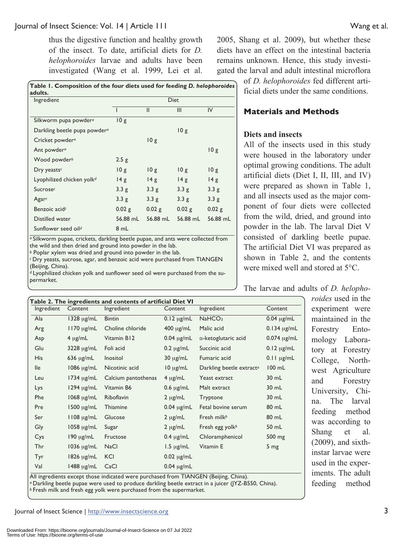thus the digestive function and healthy growth of the insect. To date, artificial diets for *D. helophoroides* larvae and adults have been investigated (Wang et al. 1999, Lei et al.

| Table 1. Composition of the four diets used for feeding D. helophoroides<br>adults. |                  |               |          |          |  |  |
|-------------------------------------------------------------------------------------|------------------|---------------|----------|----------|--|--|
| Ingredient                                                                          | <b>Diet</b>      |               |          |          |  |  |
|                                                                                     |                  | $\mathsf{II}$ | III      | IV       |  |  |
| Silkworm pupa powder <sup>a</sup>                                                   | 10g              |               |          |          |  |  |
| Darkling beetle pupa powder <sup>a</sup>                                            |                  |               | 10g      |          |  |  |
| Cricket powder <sup>a</sup>                                                         |                  | 10g           |          |          |  |  |
| Ant powder <sup>a</sup>                                                             |                  |               |          | 10g      |  |  |
| Wood powder <sup>b</sup>                                                            | 2.5g             |               |          |          |  |  |
| Dry yeasts <sup>c</sup>                                                             | 10g              | 10g           | 10g      | 10g      |  |  |
| Lyophilized chicken yolk <sup>d</sup>                                               | 14g              | 14g           | 14g      | 14g      |  |  |
| Sucrosec                                                                            | 3.3 <sub>g</sub> | 3.3g          | 3.3g     | 3.3g     |  |  |
| Agar $\epsilon$                                                                     | 3.3g             | 3.3g          | 3.3g     | 3.3 g    |  |  |
| Benzoic acid <sup>c</sup>                                                           | 0.02 g           | 0.02 g        | 0.02g    | 0.02g    |  |  |
| Distilled water                                                                     | 56.88 mL         | 56.88 mL      | 56.88 mL | 56.88 mL |  |  |
| Sunflower seed oild                                                                 | 8 mL             |               |          |          |  |  |

a Silkworm pupae, crickets, darkling beetle pupae, and ants were collected from the wild and then dried and ground into powder in the lab.

*<sup>b</sup>* Poplar xylem was dried and ground into powder in the lab.

*<sup>c</sup>*Dry yeasts, sucrose, agar, and benzoic acid were purchased from TIANGEN (Beijing, China).

*d* Lyophilized chicken yolk and sunflower seed oil were purchased from the supermarket.

2005, Shang et al. 2009), but whether these diets have an effect on the intestinal bacteria remains unknown. Hence, this study investigated the larval and adult intestinal microflora

> of *D. helophoroides* fed different artificial diets under the same conditions.

#### **Materials and Methods**

#### **Diets and insects**

All of the insects used in this study were housed in the laboratory under optimal growing conditions. The adult artificial diets (Diet I, II, III, and IV) were prepared as shown in Table 1, and all insects used as the major component of four diets were collected from the wild, dried, and ground into powder in the lab. The larval Diet V consisted of darkling beetle pupae. The artificial Diet VI was prepared as shown in Table 2, and the contents were mixed well and stored at 5°C.

The larvae and adults of *D. helopho-*

*roides* used in the experiment were maintained in the Forestry Entomology Laboratory at Forestry College, Northwest Agriculture and Forestry University, China. The larval feeding method was according to Shang et al. (2009), and sixthinstar larvae were used in the experiments. The adult feeding method

| Table 2. The ingredients and contents of artificial Diet VI |                      |                                                                                              |                 |                                      |                  |  |
|-------------------------------------------------------------|----------------------|----------------------------------------------------------------------------------------------|-----------------|--------------------------------------|------------------|--|
| Ingredient                                                  | Content              | Ingredient                                                                                   | Content         | Ingredient                           | Content          |  |
| Ala                                                         | $1328 \mu g/mL$      | <b>Bintin</b>                                                                                | $0.12 \mu g/mL$ | NaHCO <sub>3</sub>                   | $0.04 \mu g/mL$  |  |
| Arg                                                         | $1170 \mu g/mL$      | Choline chloride                                                                             | $400 \mu g/mL$  | Malic acid                           | $0.134 \mu g/mL$ |  |
| Asp                                                         | $4 \mu g/mL$         | Vitamin B12                                                                                  | $0.04 \mu g/mL$ | $\alpha$ -ketoglutaric acid          | $0.074$ µg/mL    |  |
| Glu                                                         | $3228 \mu g/mL$      | Foli acid                                                                                    | $0.2 \mu g/mL$  | Succinic acid                        | $0.12 \mu g/mL$  |  |
| His                                                         | $636 \mu g/mL$       | Inositol                                                                                     | $30 \mu g/mL$   | Fumaric acid                         | $0.11 \mu g/mL$  |  |
| <b>Ile</b>                                                  | $1086 \mu g/mL$      | Nicotinic acid                                                                               | $10 \mu g/mL$   | Darkling beetle extract <sup>a</sup> | $100$ mL         |  |
| Leu                                                         | $1734 \mu g/mL$      | Calcium pantothenas                                                                          | $4 \mu g/mL$    | Yeast extract                        | 30 mL            |  |
| Lys                                                         | $1294 \mu g/mL$      | Vitamin B6                                                                                   | $0.6 \mu g/mL$  | Malt extract                         | 30 mL            |  |
| Phe                                                         | $1068 \text{ µg/mL}$ | Riboflavin                                                                                   | $2 \mu g/mL$    | Tryptone                             | 30 mL            |  |
| Pre                                                         | $1500 \mu g/mL$      | Thiamine                                                                                     | $0.04 \mu g/mL$ | Fetal bovine serum                   | 80 mL            |  |
| Ser                                                         | $1108 \mu g/mL$      | Glucose                                                                                      | $2 \mu g/mL$    | Fresh milk <sup>b</sup>              | 80 mL            |  |
| Gly                                                         | 1058 µg/mL           | Sugar                                                                                        | $2 \mu g/mL$    | Fresh egg yolk <sup>b</sup>          | 50 mL            |  |
| Cys                                                         | $190 \mu g/mL$       | Fructose                                                                                     | $0.4 \mu g/mL$  | Chloramphenicol                      | 500 mg           |  |
| Thr                                                         | $1036 \text{ µg/mL}$ | <b>NaCl</b>                                                                                  | $1.5 \mu g/mL$  | Vitamin E                            | 5 <sub>mg</sub>  |  |
| Tyr                                                         | $1826 \mu g/mL$      | <b>KCI</b>                                                                                   | $0.02 \mu g/mL$ |                                      |                  |  |
| Val                                                         | $1488 \mu g/mL$      | CaCl<br>All ingradiants oxcept those indicated were purchased from TIANICENI (Poiiing China) | $0.04 \mu g/mL$ |                                      |                  |  |

All ingredients except those indicated were purchased from TIANGEN (Beijing, China). *a* Darkling beetle pupae were used to produce darkling beetle extract in a juicer (JYZ-B550, China).

*b* Fresh milk and fresh egg yolk were purchased from the supermarket.

Journal of Insect Science | http://www.insectscience.org 3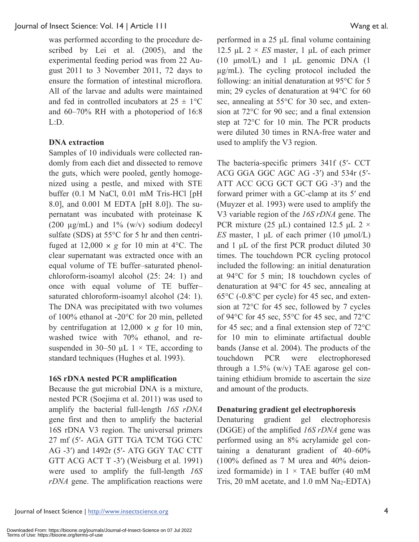was performed according to the procedure described by Lei et al. (2005), and the experimental feeding period was from 22 August 2011 to 3 November 2011, 72 days to ensure the formation of intestinal microflora. All of the larvae and adults were maintained and fed in controlled incubators at  $25 \pm 1$ °C and 60–70% RH with a photoperiod of 16:8 L:D.

#### **DNA extraction**

Samples of 10 individuals were collected randomly from each diet and dissected to remove the guts, which were pooled, gently homogenized using a pestle, and mixed with STE buffer (0.1 M NaCl, 0.01 mM Tris-HCl [pH 8.0], and 0.001 M EDTA [pH 8.0]). The supernatant was incubated with proteinase K (200  $\mu$ g/mL) and 1% (w/v) sodium dodecyl sulfate (SDS) at 55°C for 5 hr and then centrifuged at  $12,000 \times g$  for 10 min at 4<sup>o</sup>C. The clear supernatant was extracted once with an equal volume of TE buffer–saturated phenolchloroform-isoamyl alcohol (25: 24: 1) and once with equal volume of TE buffer– saturated chloroform-isoamyl alcohol (24: 1). The DNA was precipitated with two volumes of 100% ethanol at -20°C for 20 min, pelleted by centrifugation at  $12,000 \times g$  for 10 min, washed twice with 70% ethanol, and resuspended in 30–50  $\mu$ L 1 × TE, according to standard techniques (Hughes et al. 1993).

#### **16S rDNA nested PCR amplification**

Because the gut microbial DNA is a mixture, nested PCR (Soejima et al. 2011) was used to amplify the bacterial full-length *16S rDNA* gene first and then to amplify the bacterial 16S rDNA V3 region. The universal primers 27 mf (5′- AGA GTT TGA TCM TGG CTC AG -3′) and 1492r (5′- ATG GGY TAC CTT GTT ACG ACT T -3′) (Weisburg et al. 1991) were used to amplify the full-length *16S rDNA* gene. The amplification reactions were performed in a 25 μL final volume containing 12.5 μL  $2 \times ES$  master, 1 μL of each primer (10 μmol/L) and 1 μL genomic DNA (1 µg/mL). The cycling protocol included the following: an initial denaturation at 95°C for 5 min; 29 cycles of denaturation at 94°C for 60 sec, annealing at 55°C for 30 sec, and extension at 72°C for 90 sec; and a final extension step at 72°C for 10 min. The PCR products were diluted 30 times in RNA-free water and used to amplify the V3 region.

The bacteria-specific primers 341f (5′- CCT ACG GGA GGC AGC AG -3′) and 534r (5′- ATT ACC GCG GCT GCT GG -3′) and the forward primer with a GC-clamp at its 5′ end (Muyzer et al. 1993) were used to amplify the V3 variable region of the *16S rDNA* gene. The PCR mixture (25 μL) contained 12.5 μL 2  $\times$ *ES* master, 1 μL of each primer (10 μmol/L) and 1 μL of the first PCR product diluted 30 times. The touchdown PCR cycling protocol included the following: an initial denaturation at 94°C for 5 min; 18 touchdown cycles of denaturation at 94°C for 45 sec, annealing at 65°C (-0.8°C per cycle) for 45 sec, and extension at 72°C for 45 sec, followed by 7 cycles of 94°C for 45 sec, 55°C for 45 sec, and 72°C for 45 sec; and a final extension step of 72°C for 10 min to eliminate artifactual double bands (Janse et al. 2004). The products of the touchdown PCR were electrophoresed through a 1.5% (w/v) TAE agarose gel containing ethidium bromide to ascertain the size and amount of the products.

#### **Denaturing gradient gel electrophoresis**

Denaturing gradient gel electrophoresis (DGGE) of the amplified *16S rDNA* gene was performed using an 8% acrylamide gel containing a denaturant gradient of 40–60% (100% defined as 7 M urea and 40% deionized formamide) in  $1 \times$  TAE buffer (40 mM Tris, 20 mM acetate, and  $1.0$  mM  $Na<sub>2</sub>-EDTA$ )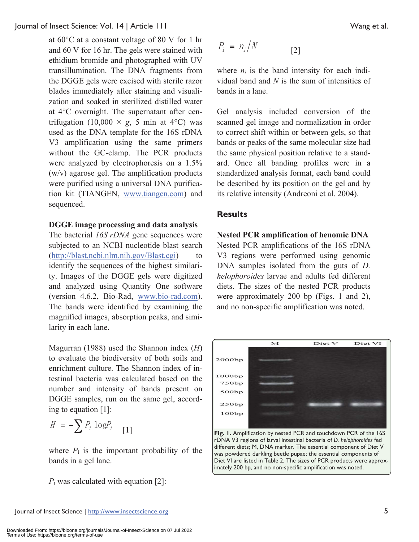at 60°C at a constant voltage of 80 V for 1 hr and 60 V for 16 hr. The gels were stained with ethidium bromide and photographed with UV transillumination. The DNA fragments from the DGGE gels were excised with sterile razor blades immediately after staining and visualization and soaked in sterilized distilled water at 4°C overnight. The supernatant after centrifugation (10,000  $\times$  *g*, 5 min at 4°C) was used as the DNA template for the 16S rDNA V3 amplification using the same primers without the GC-clamp. The PCR products were analyzed by electrophoresis on a 1.5% (w/v) agarose gel. The amplification products were purified using a universal DNA purification kit (TIANGEN, www.tiangen.com) and sequenced.

#### **DGGE image processing and data analysis**

The bacterial *16S rDNA* gene sequences were subjected to an NCBI nucleotide blast search (http://blast.ncbi.nlm.nih.gov/Blast.cgi) to identify the sequences of the highest similarity. Images of the DGGE gels were digitized and analyzed using Quantity One software (version 4.6.2, Bio-Rad, www.bio-rad.com). The bands were identified by examining the magnified images, absorption peaks, and similarity in each lane.

Magurran (1988) used the Shannon index (*H*) to evaluate the biodiversity of both soils and enrichment culture. The Shannon index of intestinal bacteria was calculated based on the number and intensity of bands present on DGGE samples, run on the same gel, according to equation [1]:

$$
H = -\sum P_i \log P_i
$$
 [1]

where  $P_i$  is the important probability of the bands in a gel lane.

*P*<sub>i</sub> was calculated with equation [2]:

$$
P_i = n_i/N \tag{2}
$$

where  $n_i$  is the band intensity for each individual band and *N* is the sum of intensities of bands in a lane.

Gel analysis included conversion of the scanned gel image and normalization in order to correct shift within or between gels, so that bands or peaks of the same molecular size had the same physical position relative to a standard. Once all banding profiles were in a standardized analysis format, each band could be described by its position on the gel and by its relative intensity (Andreoni et al. 2004).

#### **Results**

**Nested PCR amplification of henomic DNA**  Nested PCR amplifications of the 16S rDNA V3 regions were performed using genomic DNA samples isolated from the guts of *D*. *helophoroides* larvae and adults fed different diets. The sizes of the nested PCR products were approximately 200 bp (Figs. 1 and 2), and no non-specific amplification was noted.



**Fig. 1.** Amplification by nested PCR and touchdown PCR of the 16S rDNA V3 regions of larval intestinal bacteria of *D. helophoroides* fed different diets; M, DNA marker. The essential component of Diet V was powdered darkling beetle pupae; the essential components of Diet VI are listed in Table 2. The sizes of PCR products were approximately 200 bp, and no non-specific amplification was noted.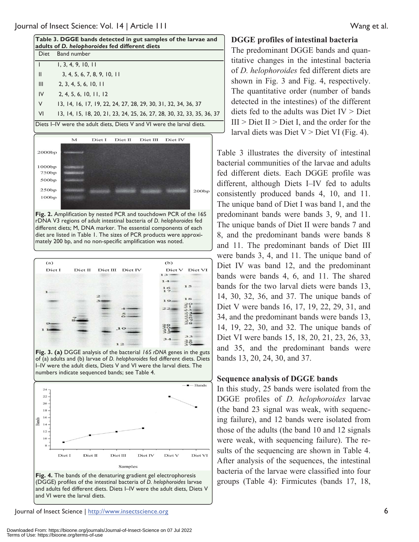| Table 3. DGGE bands detected in gut samples of the larvae and<br>adults of D. helophoroides fed different diets |                                                                        |  |  |
|-----------------------------------------------------------------------------------------------------------------|------------------------------------------------------------------------|--|--|
| Diet                                                                                                            | <b>Band number</b>                                                     |  |  |
|                                                                                                                 | 1, 3, 4, 9, 10, 11                                                     |  |  |
| $\mathsf{II}$                                                                                                   | 3, 4, 5, 6, 7, 8, 9, 10, 11                                            |  |  |
| $\mathbf{III}$                                                                                                  | 2, 3, 4, 5, 6, 10, 11                                                  |  |  |
| IV                                                                                                              | 2, 4, 5, 6, 10, 11, 12                                                 |  |  |
| $\vee$                                                                                                          | 13, 14, 16, 17, 19, 22, 24, 27, 28, 29, 30, 31, 32, 34, 36, 37         |  |  |
| <b>VI</b>                                                                                                       | 13, 14, 15, 18, 20, 21, 23, 24, 25, 26, 27, 28, 30, 32, 33, 35, 36, 37 |  |  |
| Diets I–IV were the adult diets, Diets V and VI were the larval diets.                                          |                                                                        |  |  |



**Fig. 2.** Amplification by nested PCR and touchdown PCR of the 16S rDNA V3 regions of adult intestinal bacteria of *D. helophoroides* fed different diets; M, DNA marker. The essential components of each diet are listed in Table 1. The sizes of PCR products were approximately 200 bp, and no non-specific amplification was noted.



**Fig. 3. (a)** DGGE analysis of the bacterial *16S rDNA* genes in the guts of (a) adults and (b) larvae of *D. helophoroides* fed different diets. Diets I–IV were the adult diets, Diets V and VI were the larval diets. The numbers indicate sequenced bands; see Table 4.



#### **DGGE profiles of intestinal bacteria**

The predominant DGGE bands and quantitative changes in the intestinal bacteria of *D. helophoroides* fed different diets are shown in Fig. 3 and Fig. 4, respectively. The quantitative order (number of bands detected in the intestines) of the different diets fed to the adults was Diet  $IV >$  Diet  $III >$  Diet II > Diet I, and the order for the larval diets was Diet  $V >$  Diet VI (Fig. 4).

Table 3 illustrates the diversity of intestinal bacterial communities of the larvae and adults fed different diets. Each DGGE profile was different, although Diets I–IV fed to adults consistently produced bands 4, 10, and 11. The unique band of Diet I was band 1, and the predominant bands were bands 3, 9, and 11. The unique bands of Diet II were bands 7 and 8, and the predominant bands were bands 8 and 11. The predominant bands of Diet III were bands 3, 4, and 11. The unique band of Diet IV was band 12, and the predominant bands were bands 4, 6, and 11. The shared bands for the two larval diets were bands 13, 14, 30, 32, 36, and 37. The unique bands of Diet V were bands 16, 17, 19, 22, 29, 31, and 34, and the predominant bands were bands 13, 14, 19, 22, 30, and 32. The unique bands of Diet VI were bands 15, 18, 20, 21, 23, 26, 33, and 35, and the predominant bands were bands 13, 20, 24, 30, and 37.

#### **Sequence analysis of DGGE bands**

In this study, 25 bands were isolated from the DGGE profiles of *D. helophoroides* larvae (the band 23 signal was weak, with sequencing failure), and 12 bands were isolated from those of the adults (the band 10 and 12 signals were weak, with sequencing failure). The results of the sequencing are shown in Table 4. After analysis of the sequences, the intestinal bacteria of the larvae were classified into four groups (Table 4): Firmicutes (bands 17, 18,

Journal of Insect Science | http://www.insectscience.org 6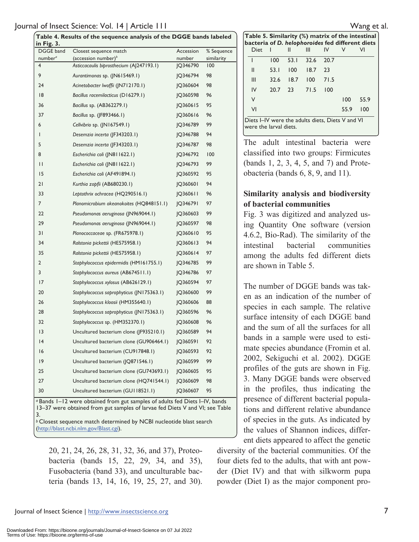| Table 4. Results of the sequence analysis of the DGGE bands labeled<br>in Fig. 3. |                                           |           |            |  |  |  |
|-----------------------------------------------------------------------------------|-------------------------------------------|-----------|------------|--|--|--|
| <b>DGGE</b> band                                                                  | Closest sequence match                    | Accession | % Sequence |  |  |  |
| number <sup>a</sup>                                                               | (accession number) $b$                    | number    | similarity |  |  |  |
| $\overline{4}$                                                                    | Asticcacaulis biprosthecium (AJ247193.1)  | IQ346790  | 100        |  |  |  |
| 9                                                                                 | Aurantimonas sp. (JN615469.1)             | IQ346794  | 98         |  |  |  |
| 24                                                                                | Acinetobacter Iwoffii (JN712170.1)        | IQ360604  | 98         |  |  |  |
| 8                                                                                 | Bacillus racemilacticus (D16279.1)        | IQ360598  | 96         |  |  |  |
| 36                                                                                | Bacillus sp. (AB362279.1)                 | IQ360615  | 95         |  |  |  |
| 37                                                                                | Bacillus sp. (JF893466.1)                 | IQ360616  | 96         |  |  |  |
| 6                                                                                 | Cellvibrio sp. (JN167549.1)               | IQ346789  | 99         |  |  |  |
| I                                                                                 | Desemzia incerta (JF343203.1)             | IQ346788  | 94         |  |  |  |
| 5                                                                                 | Desemzia incerta (JF343203.1)             | IQ346787  | 98         |  |  |  |
| 8                                                                                 | Escherichia coli (JN811622.1)             | IQ346792  | 100        |  |  |  |
| П                                                                                 | Escherichia coli (JN811622.1)             | IQ346793  | 99         |  |  |  |
| 15                                                                                | Escherichia coli (AF491894.1)             | IQ360592  | 95         |  |  |  |
| 21                                                                                | Kurthia zopfii (AB680230.1)               | IQ360601  | 94         |  |  |  |
| 33                                                                                | Leptothrix ochracea (HQ290516.1)          | IQ360611  | 96         |  |  |  |
| $\overline{7}$                                                                    | Planomicrobium okeanokoites (HQ848151.1)  | IQ346791  | 97         |  |  |  |
| 22                                                                                | Pseudomonas aeruginosa (JN969044.1)       | IQ360603  | 99         |  |  |  |
| 29                                                                                | Pseudomonas aeruginosa (JN969044.1)       | IQ360597  | 98         |  |  |  |
| 31                                                                                | Planococcaceae sp. (FR675978.1)           | IQ360610  | 95         |  |  |  |
| 34                                                                                | Ralstonia pickettii (HE575958.1)          | IQ360613  | 94         |  |  |  |
| 35                                                                                | Ralstonia pickettii (HE575958.1)          | IQ360614  | 97         |  |  |  |
| $\overline{2}$                                                                    | Staphylococcus epidermidis (HM161755.1)   | IQ346785  | 99         |  |  |  |
| 3                                                                                 | Staphylococcus aureus (AB674511.1)        | IQ346786  | 97         |  |  |  |
| 17                                                                                | Staphylococcus xylosus (AB626129.1)       | IQ360594  | 97         |  |  |  |
| 20                                                                                | Staphylococcus saprophyticus (JN175363.1) | IQ360600  | 99         |  |  |  |
| 26                                                                                | Staphylococcus kloosii (HM355640.1)       | IQ360606  | 88         |  |  |  |
| 28                                                                                | Staphylococcus saprophyticus (JN175363.1) | IQ360596  | 96         |  |  |  |
| 32                                                                                | Staphylococcus sp. (HM352370.1)           | IQ360608  | 96         |  |  |  |
| 3                                                                                 | Uncultured bacterium clone (JF935210.1)   | IQ360589  | 94         |  |  |  |
| 4                                                                                 | Uncultured bacterium clone (GU906464.1)   | IQ360591  | 92         |  |  |  |
| 16                                                                                | Uncultured bacterium (CU917848.1)         | IQ360593  | 92         |  |  |  |
| 9                                                                                 | Uncultured bacterium (JQ871546.1)         | IQ360599  | 99         |  |  |  |
| 25                                                                                | Uncultured bacterium clone (GU743693.1)   | JQ360605  | 95         |  |  |  |

*<sup>a</sup>*Bands 1–12 were obtained from gut samples of adults fed Diets I–IV, bands 13–37 were obtained from gut samples of larvae fed Diets V and VI; see Table 3.

*b* Closest sequence match determined by NCBI nucleotide blast search (http://blast.ncbi.nlm.gov/Blast.cgi).

27 Uncultured bacterium clone (HQ741544.1) JQ360609 98 30 Uncultured bacterium (GUI18521.1) 1Q360607 95

20, 21, 24, 26, 28, 31, 32, 36, and 37), Proteobacteria (bands 15, 22, 29, 34, and 35), Fusobacteria (band 33), and unculturable bacteria (bands 13, 14, 16, 19, 25, 27, and 30).

**Table 5. Similarity (%) matrix of the intestinal bacteria of** *D. helophoroides* **fed different diets**  Diet I II III IV V VI I 100 53.1 32.6 20.7 II 53.1 100 18.7 23 III 32.6 18.7 100 71.5 IV 20.7 23 71.5 100 V 100 55.9 VI 55.9 100 Diets I–IV were the adults diets, Diets V and VI were the larval diets.

The adult intestinal bacteria were classified into two groups: Firmicutes (bands 1, 2, 3, 4, 5, and 7) and Proteobacteria (bands 6, 8, 9, and 11).

## **Similarity analysis and biodiversity of bacterial communities**

Fig. 3 was digitized and analyzed using Quantity One software (version 4.6.2, Bio-Rad). The similarity of the intestinal bacterial communities among the adults fed different diets are shown in Table 5.

The number of DGGE bands was taken as an indication of the number of species in each sample. The relative surface intensity of each DGGE band and the sum of all the surfaces for all bands in a sample were used to estimate species abundance (Fromin et al. 2002, Sekiguchi et al. 2002). DGGE profiles of the guts are shown in Fig. 3. Many DGGE bands were observed in the profiles, thus indicating the presence of different bacterial populations and different relative abundance of species in the guts. As indicated by the values of Shannon indices, different diets appeared to affect the genetic

diversity of the bacterial communities. Of the four diets fed to the adults, that with ant powder (Diet IV) and that with silkworm pupa powder (Diet I) as the major component pro-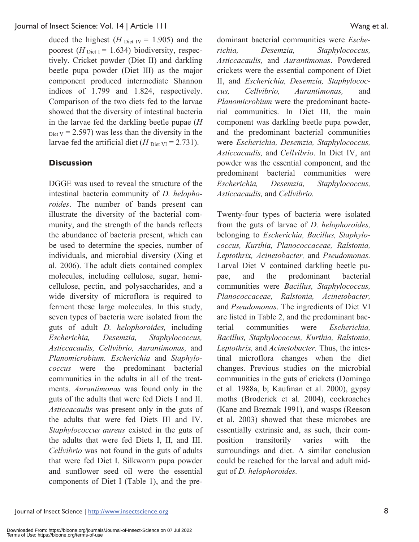duced the highest  $(H_{\text{Diet IV}} = 1.905)$  and the poorest  $(H_{\text{Diet I}} = 1.634)$  biodiversity, respectively. Cricket powder (Diet II) and darkling beetle pupa powder (Diet III) as the major component produced intermediate Shannon indices of 1.799 and 1.824, respectively. Comparison of the two diets fed to the larvae showed that the diversity of intestinal bacteria in the larvae fed the darkling beetle pupae (*H*  $_{\text{Dict V}}$  = 2.597) was less than the diversity in the larvae fed the artificial diet ( $H_{\text{Diet VI}} = 2.731$ ).

#### **Discussion**

DGGE was used to reveal the structure of the intestinal bacteria community of *D. helophoroides*. The number of bands present can illustrate the diversity of the bacterial community, and the strength of the bands reflects the abundance of bacteria present, which can be used to determine the species, number of individuals, and microbial diversity (Xing et al. 2006). The adult diets contained complex molecules, including cellulose, sugar, hemicellulose, pectin, and polysaccharides, and a wide diversity of microflora is required to ferment these large molecules. In this study, seven types of bacteria were isolated from the guts of adult *D. helophoroides,* including *Escherichia, Desemzia, Staphylococcus, Asticcacaulis, Cellvibrio, Aurantimonas,* and *Planomicrobium. Escherichia* and *Staphylococcus* were the predominant bacterial communities in the adults in all of the treatments. *Aurantimonas* was found only in the guts of the adults that were fed Diets I and II. *Asticcacaulis* was present only in the guts of the adults that were fed Diets III and IV. *Staphylococcus aureus* existed in the guts of the adults that were fed Diets I, II, and III. *Cellvibrio* was not found in the guts of adults that were fed Diet I. Silkworm pupa powder and sunflower seed oil were the essential components of Diet I (Table 1), and the predominant bacterial communities were *Escherichia, Desemzia, Staphylococcus, Asticcacaulis,* and *Aurantimonas*. Powdered crickets were the essential component of Diet II, and *Escherichia, Desemzia, Staphylococcus, Cellvibrio, Aurantimonas,* and *Planomicrobium* were the predominant bacterial communities. In Diet III, the main component was darkling beetle pupa powder, and the predominant bacterial communities were *Escherichia, Desemzia, Staphylococcus, Asticcacaulis,* and *Cellvibrio*. In Diet IV, ant powder was the essential component, and the predominant bacterial communities were *Escherichia, Desemzia, Staphylococcus, Asticcacaulis,* and *Cellvibrio.* 

Twenty-four types of bacteria were isolated from the guts of larvae of *D. helophoroides,*  belonging to *Escherichia, Bacillus, Staphylococcus, Kurthia, Planococcaceae, Ralstonia, Leptothrix, Acinetobacter,* and *Pseudomonas.* Larval Diet V contained darkling beetle pupae, and the predominant bacterial communities were *Bacillus, Staphylococcus, Planococcaceae, Ralstonia, Acinetobacter,*  and *Pseudomonas*. The ingredients of Diet VI are listed in Table 2, and the predominant bacterial communities were *Escherichia, Bacillus, Staphylococcus, Kurthia, Ralstonia, Leptothrix,* and *Acinetobacter.* Thus, the intestinal microflora changes when the diet changes. Previous studies on the microbial communities in the guts of crickets (Domingo et al. 1988a, b; Kaufman et al. 2000), gypsy moths (Broderick et al. 2004), cockroaches (Kane and Breznak 1991), and wasps (Reeson et al. 2003) showed that these microbes are essentially extrinsic and, as such, their composition transitorily varies with the surroundings and diet. A similar conclusion could be reached for the larval and adult midgut of *D. helophoroides.*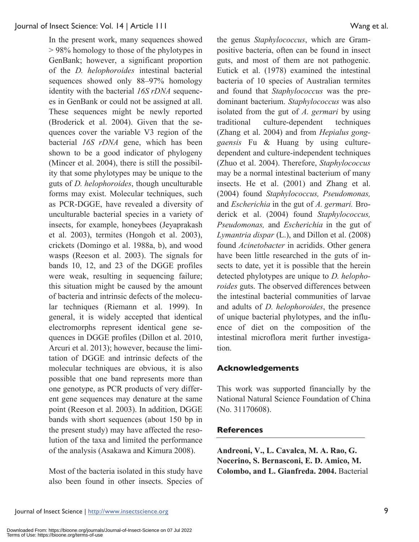In the present work, many sequences showed > 98% homology to those of the phylotypes in GenBank; however, a significant proportion of the *D. helophoroides* intestinal bacterial sequences showed only 88–97% homology identity with the bacterial *16S rDNA* sequences in GenBank or could not be assigned at all. These sequences might be newly reported (Broderick et al. 2004). Given that the sequences cover the variable V3 region of the bacterial *16S rDNA* gene, which has been shown to be a good indicator of phylogeny (Mincer et al. 2004), there is still the possibility that some phylotypes may be unique to the guts of *D. helophoroides*, though unculturable forms may exist. Molecular techniques, such as PCR-DGGE, have revealed a diversity of unculturable bacterial species in a variety of insects, for example, honeybees (Jeyaprakash et al. 2003), termites (Hongoh et al. 2003), crickets (Domingo et al. 1988a, b), and wood wasps (Reeson et al. 2003). The signals for bands 10, 12, and 23 of the DGGE profiles were weak, resulting in sequencing failure; this situation might be caused by the amount of bacteria and intrinsic defects of the molecular techniques (Riemann et al. 1999). In general, it is widely accepted that identical electromorphs represent identical gene sequences in DGGE profiles (Dillon et al. 2010, Arcuri et al. 2013); however, because the limitation of DGGE and intrinsic defects of the molecular techniques are obvious, it is also possible that one band represents more than one genotype, as PCR products of very different gene sequences may denature at the same point (Reeson et al. 2003). In addition, DGGE bands with short sequences (about 150 bp in the present study) may have affected the resolution of the taxa and limited the performance of the analysis (Asakawa and Kimura 2008).

Most of the bacteria isolated in this study have also been found in other insects. Species of

the genus *Staphylococcus*, which are Grampositive bacteria, often can be found in insect guts, and most of them are not pathogenic. Eutick et al. (1978) examined the intestinal bacteria of 10 species of Australian termites and found that *Staphylococcus* was the predominant bacterium. *Staphylococcus* was also isolated from the gut of *A. germari* by using traditional culture-dependent techniques (Zhang et al. 2004) and from *Hepialus gonggaensis* Fu & Huang by using culturedependent and culture-independent techniques (Zhuo et al. 2004). Therefore, *Staphylococcus* may be a normal intestinal bacterium of many insects. He et al. (2001) and Zhang et al. (2004) found *Staphylococcus, Pseudomonas,* and *Escherichia* in the gut of *A. germari.* Broderick et al. (2004) found *Staphylococcus, Pseudomonas,* and *Escherichia* in the gut of *Lymantria dispar* (L.), and Dillon et al. (2008) found *Acinetobacter* in acridids. Other genera have been little researched in the guts of insects to date, yet it is possible that the herein detected phylotypes are unique to *D. helophoroides* guts. The observed differences between the intestinal bacterial communities of larvae and adults of *D. helophoroides*, the presence of unique bacterial phylotypes, and the influence of diet on the composition of the intestinal microflora merit further investigation.

### **Acknowledgements**

This work was supported financially by the National Natural Science Foundation of China (No. 31170608).

### **References**

**Andreoni, V., L. Cavalca, M. A. Rao, G. Nocerino, S. Bernasconi, E. D. Amico, M. Colombo, and L. Gianfreda. 2004.** Bacterial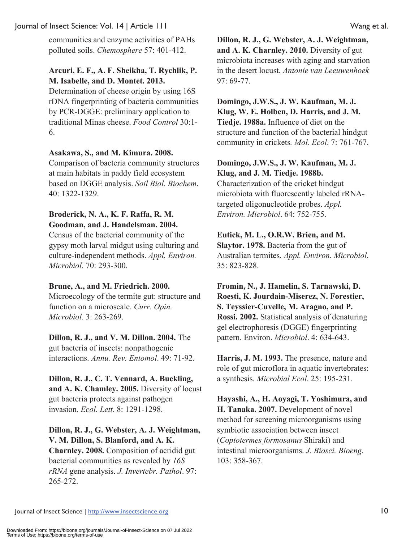communities and enzyme activities of PAHs polluted soils. *Chemosphere* 57: 401-412.

## **Arcuri, E. F., A. F. Sheikha, T. Rychlik, P. M. Isabelle, and D. Montet. 2013.**

Determination of cheese origin by using 16S rDNA fingerprinting of bacteria communities by PCR-DGGE: preliminary application to traditional Minas cheese. *Food Control* 30:1- 6.

#### **Asakawa, S., and M. Kimura. 2008.**

Comparison of bacteria community structures at main habitats in paddy field ecosystem based on DGGE analysis. *Soil Biol. Biochem*. 40: 1322-1329.

### **Broderick, N. A., K. F. Raffa, R. M. Goodman, and J. Handelsman. 2004.**

Census of the bacterial community of the gypsy moth larval midgut using culturing and culture-independent methods. *Appl. Environ. Microbiol*. 70: 293-300.

### **Brune, A., and M. Friedrich. 2000.**

Microecology of the termite gut: structure and function on a microscale. *Curr. Opin. Microbiol*. 3: 263-269.

#### **Dillon, R. J., and V. M. Dillon. 2004.** The gut bacteria of insects: nonpathogenic

interactions. *Annu. Rev. Entomol*. 49: 71-92.

**Dillon, R. J., C. T. Vennard, A. Buckling, and A. K. Chamley. 2005.** Diversity of locust gut bacteria protects against pathogen invasion. *Ecol. Lett*. 8: 1291-1298.

**Dillon, R. J., G. Webster, A. J. Weightman, V. M. Dillon, S. Blanford, and A. K. Charnley. 2008.** Composition of acridid gut bacterial communities as revealed by *16S rRNA* gene analysis. *J. Invertebr. Pathol*. 97:

**Dillon, R. J., G. Webster, A. J. Weightman, and A. K. Charnley. 2010.** Diversity of gut microbiota increases with aging and starvation in the desert locust. *Antonie van Leeuwenhoek* 97: 69-77.

## **Domingo, J.W.S., J. W. Kaufman, M. J. Klug, W. E. Holben, D. Harris, and J. M. Tiedje. 1988a.** Influence of diet on the structure and function of the bacterial hindgut community in crickets*. Mol. Ecol*. 7: 761-767.

## **Domingo, J.W.S., J. W. Kaufman, M. J. Klug, and J. M. Tiedje. 1988b.**

Characterization of the cricket hindgut microbiota with fluorescently labeled rRNAtargeted oligonucleotide probes. *Appl. Environ. Microbiol*. 64: 752-755.

### **Eutick, M. L., O.R.W. Brien, and M.**

**Slaytor. 1978.** Bacteria from the gut of Australian termites. *Appl. Environ. Microbiol*. 35: 823-828.

**Fromin, N., J. Hamelin, S. Tarnawski, D. Roesti, K. Jourdain-Miserez, N. Forestier, S. Teyssier-Cuvelle, M. Aragno, and P. Rossi. 2002.** Statistical analysis of denaturing gel electrophoresis (DGGE) fingerprinting pattern. Environ. *Microbiol*. 4: 634-643.

**Harris, J. M. 1993.** The presence, nature and role of gut microflora in aquatic invertebrates: a synthesis. *Microbial Ecol*. 25: 195-231.

**Hayashi, A., H. Aoyagi, T. Yoshimura, and H. Tanaka. 2007.** Development of novel method for screening microorganisms using symbiotic association between insect (*Coptotermes formosanus* Shiraki) and intestinal microorganisms. *J. Biosci. Bioeng*. 103: 358-367.

265-272.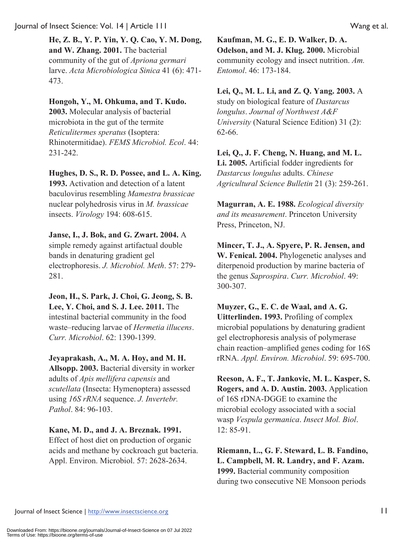**He, Z. B., Y. P. Yin, Y. Q. Cao, Y. M. Dong, and W. Zhang. 2001.** The bacterial community of the gut of *Apriona germari* larve. *Acta Microbiologica Sinica* 41 (6): 471- 473.

## **Hongoh, Y., M. Ohkuma, and T. Kudo.**

**2003.** Molecular analysis of bacterial microbiota in the gut of the termite *Reticulitermes speratus* (Isoptera: Rhinotermitidae). *FEMS Microbiol. Ecol*. 44: 231-242.

## **Hughes, D. S., R. D. Possee, and L. A. King.**

**1993.** Activation and detection of a latent baculovirus resembling *Mamestra brassicae* nuclear polyhedrosis virus in *M. brassicae* insects. *Virology* 194: 608-615.

## **Janse, I., J. Bok, and G. Zwart. 2004.** A

simple remedy against artifactual double bands in denaturing gradient gel electrophoresis. *J. Microbiol. Meth*. 57: 279- 281.

**Jeon, H., S. Park, J. Choi, G. Jeong, S. B. Lee, Y. Choi, and S. J. Lee. 2011.** The intestinal bacterial community in the food waste–reducing larvae of *Hermetia illucens*. *Curr. Microbiol*. 62: 1390-1399.

### **Jeyaprakash, A., M. A. Hoy, and M. H.**

**Allsopp. 2003.** Bacterial diversity in worker adults of *Apis mellifera capensis* and *scutellata* (Insecta: Hymenoptera) assessed using *16S rRNA* sequence. *J. Invertebr. Pathol*. 84: 96-103.

## **Kane, M. D., and J. A. Breznak. 1991.**

Effect of host diet on production of organic acids and methane by cockroach gut bacteria. Appl. Environ. Microbiol. 57: 2628-2634.

**Kaufman, M. G., E. D. Walker, D. A. Odelson, and M. J. Klug. 2000.** Microbial community ecology and insect nutrition. *Am. Entomol*. 46: 173-184.

## **Lei, Q., M. L. Li, and Z. Q. Yang. 2003.** A

study on biological feature of *Dastarcus longulus*. *Journal of Northwest A&F University* (Natural Science Edition) 31 (2): 62-66.

**Lei, Q., J. F. Cheng, N. Huang, and M. L. Li. 2005.** Artificial fodder ingredients for *Dastarcus longulus* adults. *Chinese Agricultural Science Bulletin* 21 (3): 259-261.

**Magurran, A. E. 1988.** *Ecological diversity and its measurement*. Princeton University Press, Princeton, NJ.

**Mincer, T. J., A. Spyere, P. R. Jensen, and W. Fenical. 2004.** Phylogenetic analyses and diterpenoid production by marine bacteria of the genus *Saprospira*. *Curr. Microbiol*. 49: 300-307.

**Muyzer, G., E. C. de Waal, and A. G. Uitterlinden. 1993.** Profiling of complex microbial populations by denaturing gradient gel electrophoresis analysis of polymerase chain reaction–amplified genes coding for 16S rRNA. *Appl. Environ. Microbiol*. 59: 695-700.

**Reeson, A. F., T. Jankovic, M. L. Kasper, S. Rogers, and A. D. Austin. 2003.** Application of 16S rDNA-DGGE to examine the microbial ecology associated with a social wasp *Vespula germanica*. *Insect Mol. Biol*. 12: 85-91.

**Riemann, L., G. F. Steward, L. B. Fandino, L. Campbell, M. R. Landry, and F. Azam. 1999.** Bacterial community composition during two consecutive NE Monsoon periods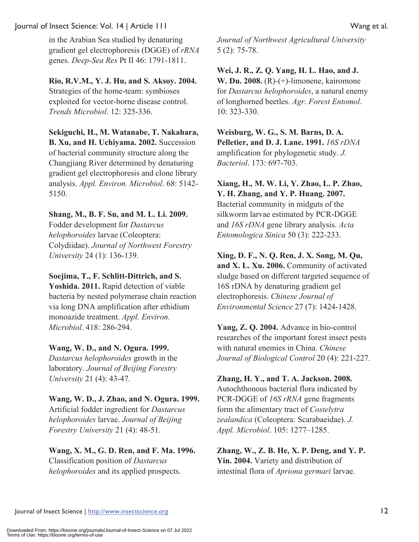in the Arabian Sea studied by denaturing gradient gel electrophoresis (DGGE) of *rRNA* genes. *Deep-Sea Res* Pt II 46: 1791-1811.

**Rio, R.V.M., Y. J. Hu, and S. Aksoy. 2004.** Strategies of the home-team: symbioses exploited for vector-borne disease control. *Trends Microbiol*. 12: 325-336.

**Sekiguchi, H., M. Watanabe, T. Nakahara, B. Xu, and H. Uchiyama. 2002.** Succession of bacterial community structure along the Changjiang River determined by denaturing gradient gel electrophoresis and clone library analysis. *Appl. Environ. Microbiol*. 68: 5142- 5150.

### **Shang, M., B. F. Su, and M. L. Li. 2009.**

Fodder development for *Dastarcus helophoroides* larvae (Coleoptera: Colydiidae). *Journal of Northwest Forestry University* 24 (1): 136-139.

#### **Soejima, T., F. Schlitt-Dittrich, and S.**

**Yoshida. 2011.** Rapid detection of viable bacteria by nested polymerase chain reaction via long DNA amplification after ethidium monoazide treatment. *Appl. Environ. Microbiol*. 418: 286-294.

### **Wang, W. D., and N. Ogura. 1999.**

*Dastarcus helophoroides* growth in the laboratory. *Journal of Beijing Forestry University* 21 (4): 43-47.

**Wang, W. D., J. Zhao, and N. Ogura. 1999.** Artificial fodder ingredient for *Dastarcus helophoroides* larvae. *Journal of Beijing Forestry University* 21 (4): 48-51.

#### **Wang, X. M., G. D. Ren, and F. Ma. 1996.** Classification position of *Dastarcus helophoroides* and its applied prospects.

*Journal of Northwest Agricultural University* 5 (2): 75-78.

**Wei, J. R., Z. Q. Yang, H. L. Hao, and J. W. Du. 2008.** (R)-(+)-limonene, kairomone for *Dastarcus helophoroides*, a natural enemy of longhorned beetles. *Agr. Forest Entomol*. 10: 323-330.

**Weisburg, W. G., S. M. Barns, D. A. Pelletier, and D. J. Lane. 1991.** *16S rDNA* amplification for phylogenetic study. *J. Bacteriol*. 173: 697-703.

**Xiang, H., M. W. Li, Y. Zhao, L. P. Zhao, Y. H. Zhang, and Y. P. Huang. 2007.** Bacterial community in midguts of the silkworm larvae estimated by PCR-DGGE and *16S rDNA* gene library analysis. *Acta Entomologica Sinica* 50 (3): 222-233.

## **Xing, D. F., N. Q. Ren, J. X. Song, M. Qu, and X. L. Xu. 2006.** Community of activated sludge based on different targeted sequence of 16S rDNA by denaturing gradient gel electrophoresis. *Chinese Journal of*

*Environmental Science* 27 (7): 1424-1428.

**Yang, Z. Q. 2004.** Advance in bio-control researches of the important forest insect pests with natural enemies in China. *Chinese Journal of Biological Control* 20 (4): 221-227.

**Zhang, H. Y., and T. A. Jackson. 2008.** Autochthonous bacterial flora indicated by PCR-DGGE of *16S rRNA* gene fragments form the alimentary tract of *Costelytra zealandica* (Coleoptera: Scarabaeidae). *J. Appl. Microbiol*. 105: 1277–1285.

### **Zhang, W., Z. B. He, X. P. Deng, and Y. P. Yin. 2004.** Variety and distribution of intestinal flora of *Apriona germari* larvae.

Journal of Insect Science | http://www.insectscience.org 12